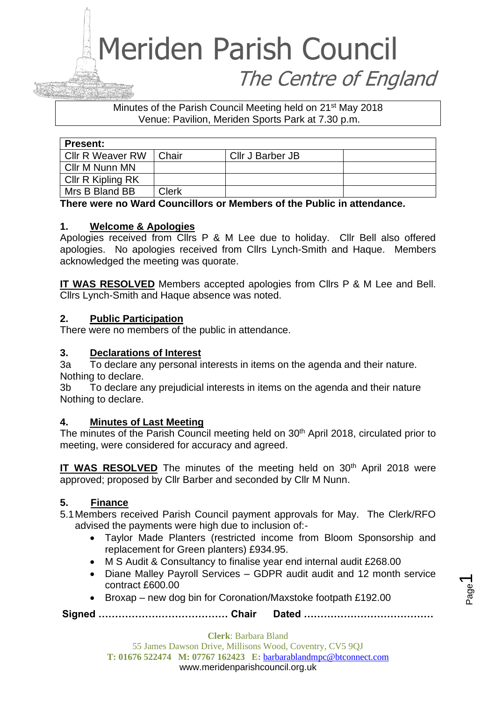### Meriden Parish Council The Centre of England

#### Minutes of the Parish Council Meeting held on 21st May 2018 Venue: Pavilion, Meriden Sports Park at 7.30 p.m.

| <b>Present:</b>   |              |                         |  |
|-------------------|--------------|-------------------------|--|
| Cllr R Weaver RW  | Chair        | <b>Cllr J Barber JB</b> |  |
| Cllr M Nunn MN    |              |                         |  |
| CIIr R Kipling RK |              |                         |  |
| Mrs B Bland BB    | <b>Clerk</b> |                         |  |

#### **There were no Ward Councillors or Members of the Public in attendance.**

#### **1. Welcome & Apologies**

Apologies received from Cllrs P & M Lee due to holiday. Cllr Bell also offered apologies. No apologies received from Cllrs Lynch-Smith and Haque. Members acknowledged the meeting was quorate.

**IT WAS RESOLVED** Members accepted apologies from Cllrs P & M Lee and Bell. Cllrs Lynch-Smith and Haque absence was noted.

#### **2. Public Participation**

There were no members of the public in attendance.

#### **3. Declarations of Interest**

3a To declare any personal interests in items on the agenda and their nature. Nothing to declare.

3b To declare any prejudicial interests in items on the agenda and their nature Nothing to declare.

#### **4. Minutes of Last Meeting**

The minutes of the Parish Council meeting held on 30<sup>th</sup> April 2018, circulated prior to meeting, were considered for accuracy and agreed.

**IT WAS RESOLVED** The minutes of the meeting held on 30<sup>th</sup> April 2018 were approved; proposed by Cllr Barber and seconded by Cllr M Nunn.

#### **5. Finance**

5.1Members received Parish Council payment approvals for May. The Clerk/RFO advised the payments were high due to inclusion of:-

- Taylor Made Planters (restricted income from Bloom Sponsorship and replacement for Green planters) £934.95.
- M S Audit & Consultancy to finalise year end internal audit £268.00
- Diane Malley Payroll Services GDPR audit audit and 12 month service contract £600.00
- Broxap new dog bin for Coronation/Maxstoke footpath £192.00

**Signed ………………………………… Chair Dated …………………………………**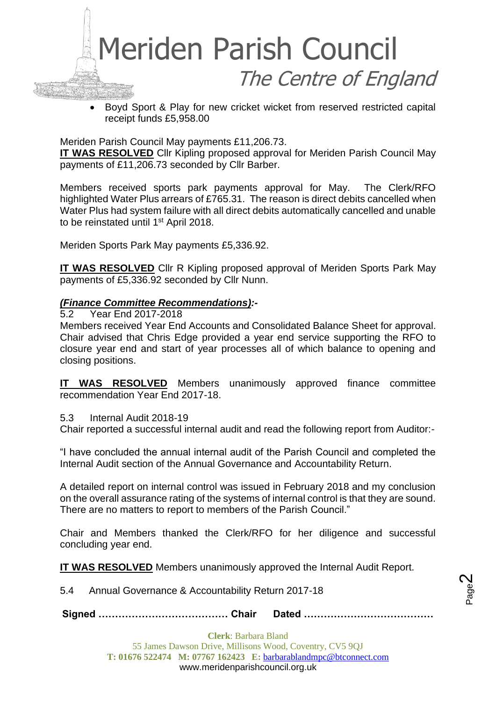

• Boyd Sport & Play for new cricket wicket from reserved restricted capital receipt funds £5,958.00

Meriden Parish Council May payments £11,206.73.

**IT WAS RESOLVED** Cllr Kipling proposed approval for Meriden Parish Council May payments of £11,206.73 seconded by Cllr Barber.

Members received sports park payments approval for May. The Clerk/RFO highlighted Water Plus arrears of £765.31. The reason is direct debits cancelled when Water Plus had system failure with all direct debits automatically cancelled and unable to be reinstated until 1<sup>st</sup> April 2018.

Meriden Sports Park May payments £5,336.92.

**IT WAS RESOLVED** Cllr R Kipling proposed approval of Meriden Sports Park May payments of £5,336.92 seconded by Cllr Nunn.

#### *(Finance Committee Recommendations):-*

5.2 Year End 2017-2018

Members received Year End Accounts and Consolidated Balance Sheet for approval. Chair advised that Chris Edge provided a year end service supporting the RFO to closure year end and start of year processes all of which balance to opening and closing positions.

**IT WAS RESOLVED** Members unanimously approved finance committee recommendation Year End 2017-18.

5.3 Internal Audit 2018-19

Chair reported a successful internal audit and read the following report from Auditor:-

"I have concluded the annual internal audit of the Parish Council and completed the Internal Audit section of the Annual Governance and Accountability Return.

A detailed report on internal control was issued in February 2018 and my conclusion on the overall assurance rating of the systems of internal control is that they are sound. There are no matters to report to members of the Parish Council."

Chair and Members thanked the Clerk/RFO for her diligence and successful concluding year end.

**IT WAS RESOLVED** Members unanimously approved the Internal Audit Report.

5.4 Annual Governance & Accountability Return 2017-18

**Signed ………………………………… Chair Dated …………………………………**

Page  $\boldsymbol{\sim}$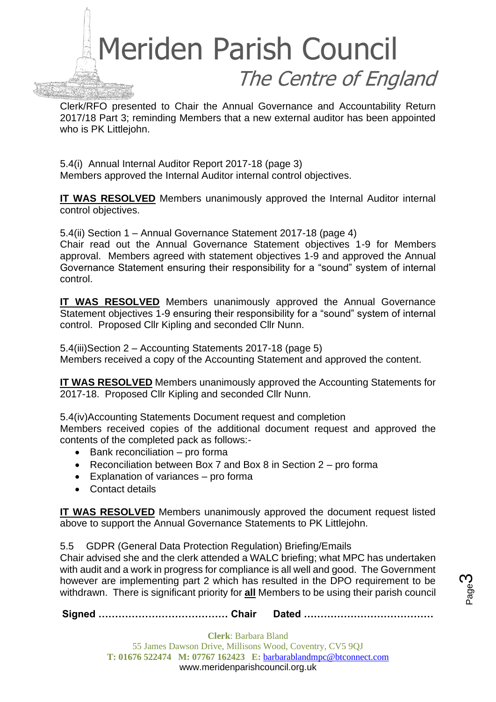

Clerk/RFO presented to Chair the Annual Governance and Accountability Return 2017/18 Part 3; reminding Members that a new external auditor has been appointed who is PK Littlejohn.

5.4(i) Annual Internal Auditor Report 2017-18 (page 3) Members approved the Internal Auditor internal control objectives.

**IT WAS RESOLVED** Members unanimously approved the Internal Auditor internal control objectives.

5.4(ii) Section 1 – Annual Governance Statement 2017-18 (page 4)

Chair read out the Annual Governance Statement objectives 1-9 for Members approval. Members agreed with statement objectives 1-9 and approved the Annual Governance Statement ensuring their responsibility for a "sound" system of internal control.

**IT WAS RESOLVED** Members unanimously approved the Annual Governance Statement objectives 1-9 ensuring their responsibility for a "sound" system of internal control. Proposed Cllr Kipling and seconded Cllr Nunn.

5.4(iii)Section 2 – Accounting Statements 2017-18 (page 5) Members received a copy of the Accounting Statement and approved the content.

**IT WAS RESOLVED** Members unanimously approved the Accounting Statements for 2017-18. Proposed Cllr Kipling and seconded Cllr Nunn.

5.4(iv)Accounting Statements Document request and completion

Members received copies of the additional document request and approved the contents of the completed pack as follows:-

- Bank reconciliation pro forma
- Reconciliation between Box 7 and Box 8 in Section 2 pro forma
- Explanation of variances pro forma
- Contact details

**IT WAS RESOLVED** Members unanimously approved the document request listed above to support the Annual Governance Statements to PK Littlejohn.

5.5 GDPR (General Data Protection Regulation) Briefing/Emails

Chair advised she and the clerk attended a WALC briefing; what MPC has undertaken with audit and a work in progress for compliance is all well and good. The Government however are implementing part 2 which has resulted in the DPO requirement to be withdrawn. There is significant priority for **all** Members to be using their parish council

**Signed ………………………………… Chair Dated …………………………………**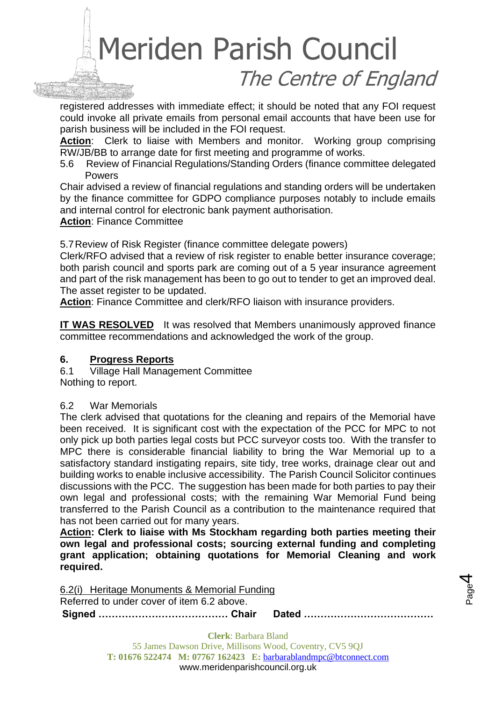# Meriden Parish Council The Centre of England

registered addresses with immediate effect; it should be noted that any FOI request could invoke all private emails from personal email accounts that have been use for parish business will be included in the FOI request.

**Action**: Clerk to liaise with Members and monitor. Working group comprising RW/JB/BB to arrange date for first meeting and programme of works.

5.6 Review of Financial Regulations/Standing Orders (finance committee delegated Powers

Chair advised a review of financial regulations and standing orders will be undertaken by the finance committee for GDPO compliance purposes notably to include emails and internal control for electronic bank payment authorisation.

**Action**: Finance Committee

5.7Review of Risk Register (finance committee delegate powers)

Clerk/RFO advised that a review of risk register to enable better insurance coverage; both parish council and sports park are coming out of a 5 year insurance agreement and part of the risk management has been to go out to tender to get an improved deal. The asset register to be updated.

**Action**: Finance Committee and clerk/RFO liaison with insurance providers.

**IT WAS RESOLVED** It was resolved that Members unanimously approved finance committee recommendations and acknowledged the work of the group.

#### **6. Progress Reports**

6.1 Village Hall Management Committee Nothing to report.

#### 6.2 War Memorials

The clerk advised that quotations for the cleaning and repairs of the Memorial have been received. It is significant cost with the expectation of the PCC for MPC to not only pick up both parties legal costs but PCC surveyor costs too. With the transfer to MPC there is considerable financial liability to bring the War Memorial up to a satisfactory standard instigating repairs, site tidy, tree works, drainage clear out and building works to enable inclusive accessibility. The Parish Council Solicitor continues discussions with the PCC. The suggestion has been made for both parties to pay their own legal and professional costs; with the remaining War Memorial Fund being transferred to the Parish Council as a contribution to the maintenance required that has not been carried out for many years.

**Action: Clerk to liaise with Ms Stockham regarding both parties meeting their own legal and professional costs; sourcing external funding and completing grant application; obtaining quotations for Memorial Cleaning and work required.**

**Signed ………………………………… Chair Dated …………………………………** 6.2(i) Heritage Monuments & Memorial Funding Referred to under cover of item 6.2 above.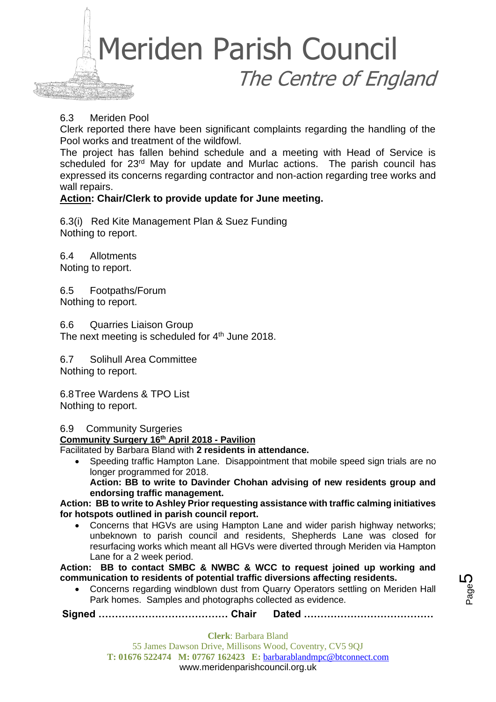

#### 6.3 Meriden Pool

Clerk reported there have been significant complaints regarding the handling of the Pool works and treatment of the wildfowl.

The project has fallen behind schedule and a meeting with Head of Service is scheduled for 23<sup>rd</sup> May for update and Murlac actions. The parish council has expressed its concerns regarding contractor and non-action regarding tree works and wall repairs.

#### **Action: Chair/Clerk to provide update for June meeting.**

6.3(i) Red Kite Management Plan & Suez Funding Nothing to report.

6.4 Allotments Noting to report.

6.5 Footpaths/Forum Nothing to report.

6.6 Quarries Liaison Group The next meeting is scheduled for  $4<sup>th</sup>$  June 2018.

6.7 Solihull Area Committee Nothing to report.

6.8Tree Wardens & TPO List Nothing to report.

6.9 Community Surgeries

**Community Surgery 16th April 2018 - Pavilion**

Facilitated by Barbara Bland with **2 residents in attendance.** 

• Speeding traffic Hampton Lane. Disappointment that mobile speed sign trials are no longer programmed for 2018. **Action: BB to write to Davinder Chohan advising of new residents group and** 

**endorsing traffic management. Action: BB to write to Ashley Prior requesting assistance with traffic calming initiatives for hotspots outlined in parish council report.** 

• Concerns that HGVs are using Hampton Lane and wider parish highway networks; unbeknown to parish council and residents, Shepherds Lane was closed for resurfacing works which meant all HGVs were diverted through Meriden via Hampton Lane for a 2 week period.

**Action: BB to contact SMBC & NWBC & WCC to request joined up working and communication to residents of potential traffic diversions affecting residents.**

• Concerns regarding windblown dust from Quarry Operators settling on Meriden Hall Park homes. Samples and photographs collected as evidence.

**Signed ………………………………… Chair Dated …………………………………**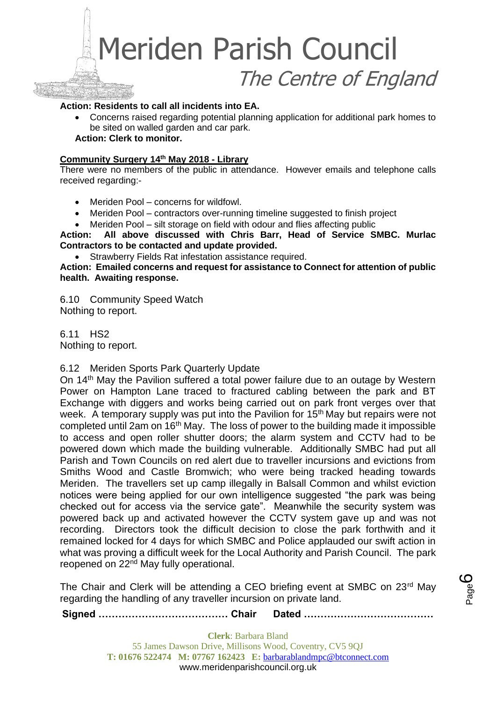## Meriden Parish Council The Centre of England

#### **Action: Residents to call all incidents into EA.**

• Concerns raised regarding potential planning application for additional park homes to be sited on walled garden and car park. **Action: Clerk to monitor.**

#### **Community Surgery 14th May 2018 - Library**

There were no members of the public in attendance. However emails and telephone calls received regarding:-

- Meriden Pool concerns for wildfowl.
- Meriden Pool contractors over-running timeline suggested to finish project
- Meriden Pool silt storage on field with odour and flies affecting public

**Action: All above discussed with Chris Barr, Head of Service SMBC. Murlac Contractors to be contacted and update provided.**

• Strawberry Fields Rat infestation assistance required.

**Action: Emailed concerns and request for assistance to Connect for attention of public health. Awaiting response.**

6.10 Community Speed Watch Nothing to report.

6.11 HS2 Nothing to report.

6.12 Meriden Sports Park Quarterly Update

On 14<sup>th</sup> May the Pavilion suffered a total power failure due to an outage by Western Power on Hampton Lane traced to fractured cabling between the park and BT Exchange with diggers and works being carried out on park front verges over that week. A temporary supply was put into the Pavilion for 15<sup>th</sup> May but repairs were not completed until 2am on 16th May. The loss of power to the building made it impossible to access and open roller shutter doors; the alarm system and CCTV had to be powered down which made the building vulnerable. Additionally SMBC had put all Parish and Town Councils on red alert due to traveller incursions and evictions from Smiths Wood and Castle Bromwich; who were being tracked heading towards Meriden. The travellers set up camp illegally in Balsall Common and whilst eviction notices were being applied for our own intelligence suggested "the park was being checked out for access via the service gate". Meanwhile the security system was powered back up and activated however the CCTV system gave up and was not recording. Directors took the difficult decision to close the park forthwith and it remained locked for 4 days for which SMBC and Police applauded our swift action in what was proving a difficult week for the Local Authority and Parish Council. The park reopened on 22<sup>nd</sup> May fully operational.

The Chair and Clerk will be attending a CEO briefing event at SMBC on 23rd May regarding the handling of any traveller incursion on private land.

**Signed ………………………………… Chair Dated …………………………………**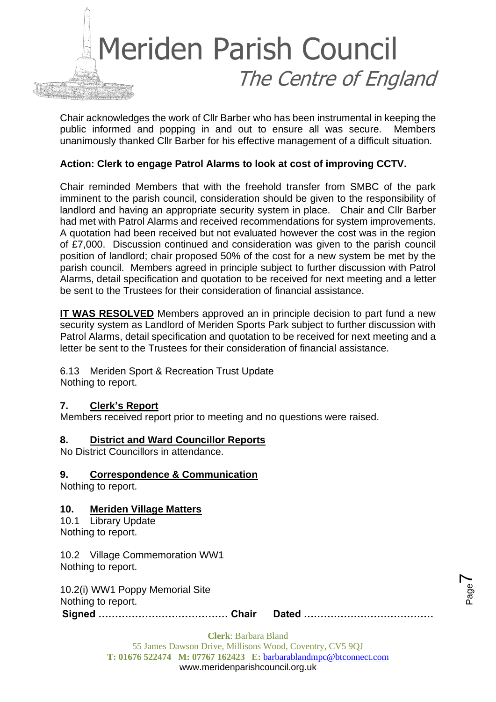

Chair acknowledges the work of Cllr Barber who has been instrumental in keeping the public informed and popping in and out to ensure all was secure. Members unanimously thanked Cllr Barber for his effective management of a difficult situation.

#### **Action: Clerk to engage Patrol Alarms to look at cost of improving CCTV.**

Chair reminded Members that with the freehold transfer from SMBC of the park imminent to the parish council, consideration should be given to the responsibility of landlord and having an appropriate security system in place. Chair and Cllr Barber had met with Patrol Alarms and received recommendations for system improvements. A quotation had been received but not evaluated however the cost was in the region of £7,000. Discussion continued and consideration was given to the parish council position of landlord; chair proposed 50% of the cost for a new system be met by the parish council. Members agreed in principle subject to further discussion with Patrol Alarms, detail specification and quotation to be received for next meeting and a letter be sent to the Trustees for their consideration of financial assistance.

**IT WAS RESOLVED** Members approved an in principle decision to part fund a new security system as Landlord of Meriden Sports Park subject to further discussion with Patrol Alarms, detail specification and quotation to be received for next meeting and a letter be sent to the Trustees for their consideration of financial assistance.

6.13 Meriden Sport & Recreation Trust Update Nothing to report.

#### **7. Clerk's Report**

Members received report prior to meeting and no questions were raised.

#### **8. District and Ward Councillor Reports**

No District Councillors in attendance.

#### **9. Correspondence & Communication**

Nothing to report.

#### **10. Meriden Village Matters**

10.1 Library Update Nothing to report.

10.2 Village Commemoration WW1 Nothing to report.

10.2(i) WW1 Poppy Memorial Site Nothing to report.

**Signed ………………………………… Chair Dated …………………………………**

Page  $\blacktriangleright$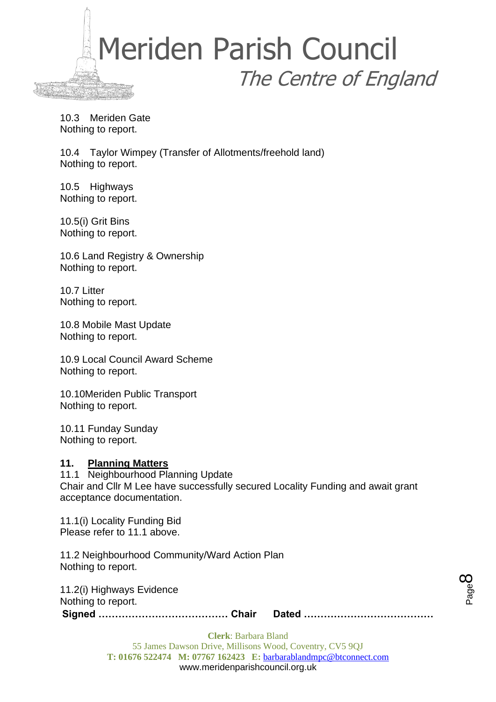

10.3 Meriden Gate Nothing to report.

10.4 Taylor Wimpey (Transfer of Allotments/freehold land) Nothing to report.

10.5 Highways Nothing to report.

10.5(i) Grit Bins Nothing to report.

10.6 Land Registry & Ownership Nothing to report.

10.7 Litter Nothing to report.

10.8 Mobile Mast Update Nothing to report.

10.9 Local Council Award Scheme Nothing to report.

10.10Meriden Public Transport Nothing to report.

10.11 Funday Sunday Nothing to report.

#### **11. Planning Matters**

11.1 Neighbourhood Planning Update Chair and Cllr M Lee have successfully secured Locality Funding and await grant acceptance documentation.

11.1(i) Locality Funding Bid Please refer to 11.1 above.

11.2 Neighbourhood Community/Ward Action Plan Nothing to report.

**Signed ………………………………… Chair Dated …………………………………** 11.2(i) Highways Evidence Nothing to report.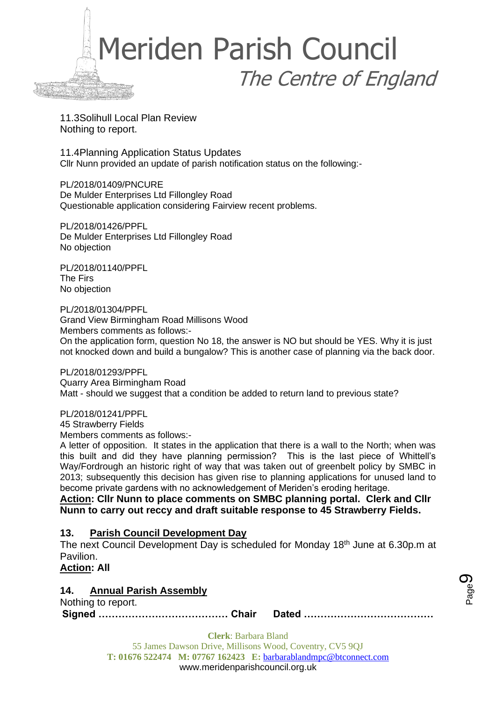

11.3Solihull Local Plan Review Nothing to report.

11.4Planning Application Status Updates Cllr Nunn provided an update of parish notification status on the following:-

PL/2018/01409/PNCURE De Mulder Enterprises Ltd Fillongley Road Questionable application considering Fairview recent problems.

PL/2018/01426/PPFL De Mulder Enterprises Ltd Fillongley Road No objection

PL/2018/01140/PPFL The Firs No objection

PL/2018/01304/PPFL Grand View Birmingham Road Millisons Wood Members comments as follows:- On the application form, question No 18, the answer is NO but should be YES. Why it is just not knocked down and build a bungalow? This is another case of planning via the back door.

PL/2018/01293/PPFL Quarry Area Birmingham Road Matt - should we suggest that a condition be added to return land to previous state?

PL/2018/01241/PPFL

45 Strawberry Fields

Members comments as follows:-

A letter of opposition. It states in the application that there is a wall to the North; when was this built and did they have planning permission? This is the last piece of Whittell's Way/Fordrough an historic right of way that was taken out of greenbelt policy by SMBC in 2013; subsequently this decision has given rise to planning applications for unused land to become private gardens with no acknowledgement of Meriden's eroding heritage.

**Action: Cllr Nunn to place comments on SMBC planning portal. Clerk and Cllr Nunn to carry out reccy and draft suitable response to 45 Strawberry Fields.**

#### **13. Parish Council Development Day**

The next Council Development Day is scheduled for Monday 18th June at 6.30p.m at Pavilion.

**Action: All**

#### **14. Annual Parish Assembly**

**Signed ………………………………… Chair Dated …………………………………** Nothing to report.